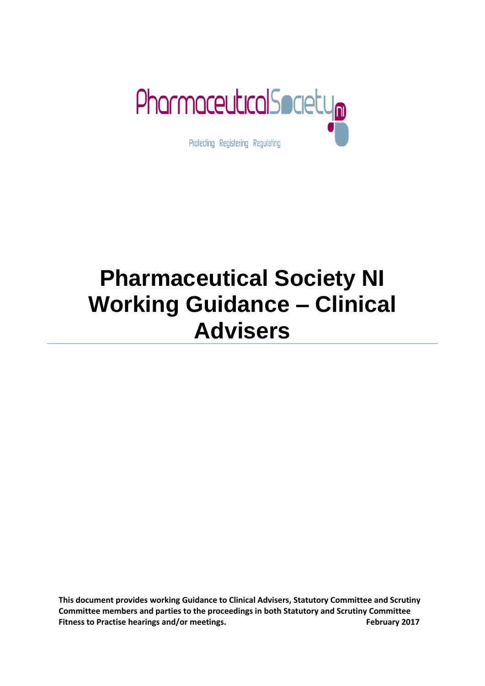

# **Pharmaceutical Society NI Working Guidance – Clinical Advisers**

**This document provides working Guidance to Clinical Advisers, Statutory Committee and Scrutiny Committee members and parties to the proceedings in both Statutory and Scrutiny Committee Fitness to Practise hearings and/or meetings.** The state of the state of the state of the state of the state of the state of the state of the state of the state of the state of the state of the state of the state of the s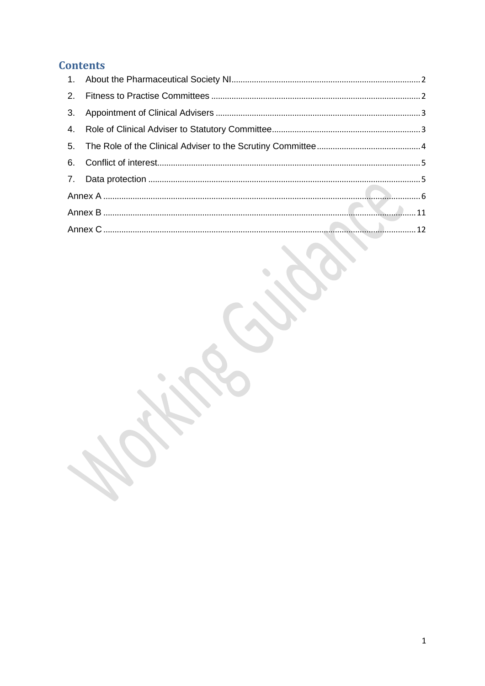#### **Contents**

 $\bullet$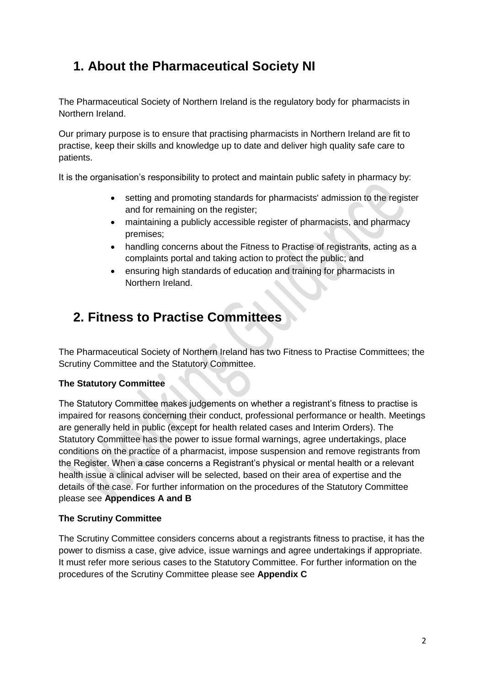## <span id="page-2-0"></span>**1. About the Pharmaceutical Society NI**

The Pharmaceutical Society of Northern Ireland is the regulatory body for pharmacists in Northern Ireland.

Our primary purpose is to ensure that practising pharmacists in Northern Ireland are fit to practise, keep their skills and knowledge up to date and deliver high quality safe care to patients.

It is the organisation's responsibility to protect and maintain public safety in pharmacy by:

- setting and promoting standards for pharmacists' admission to the register and for remaining on the register;
- maintaining a publicly accessible register of pharmacists, and pharmacy premises;
- handling concerns about the Fitness to Practise of registrants, acting as a complaints portal and taking action to protect the public; and
- ensuring high standards of education and training for pharmacists in Northern Ireland.

# <span id="page-2-1"></span>**2. Fitness to Practise Committees**

The Pharmaceutical Society of Northern Ireland has two Fitness to Practise Committees; the Scrutiny Committee and the Statutory Committee.

#### **The Statutory Committee**

The Statutory Committee makes judgements on whether a registrant's fitness to practise is impaired for reasons concerning their conduct, professional performance or health. Meetings are generally held in public (except for health related cases and Interim Orders). The Statutory Committee has the power to issue formal warnings, agree undertakings, place conditions on the practice of a pharmacist, impose suspension and remove registrants from the Register. When a case concerns a Registrant's physical or mental health or a relevant health issue a clinical adviser will be selected, based on their area of expertise and the details of the case. For further information on the procedures of the Statutory Committee please see **Appendices A and B**

#### **The Scrutiny Committee**

The Scrutiny Committee considers concerns about a registrants fitness to practise, it has the power to dismiss a case, give advice, issue warnings and agree undertakings if appropriate. It must refer more serious cases to the Statutory Committee. For further information on the procedures of the Scrutiny Committee please see **Appendix C**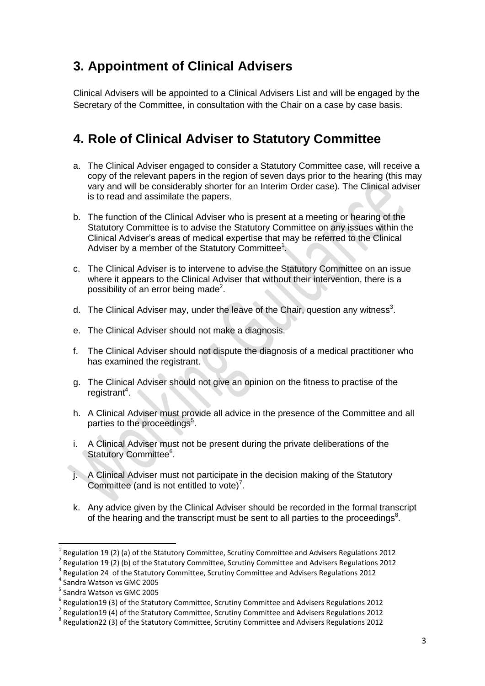# <span id="page-3-0"></span>**3. Appointment of Clinical Advisers**

Clinical Advisers will be appointed to a Clinical Advisers List and will be engaged by the Secretary of the Committee, in consultation with the Chair on a case by case basis.

# <span id="page-3-1"></span>**4. Role of Clinical Adviser to Statutory Committee**

- a. The Clinical Adviser engaged to consider a Statutory Committee case, will receive a copy of the relevant papers in the region of seven days prior to the hearing (this may vary and will be considerably shorter for an Interim Order case). The Clinical adviser is to read and assimilate the papers.
- b. The function of the Clinical Adviser who is present at a meeting or hearing of the Statutory Committee is to advise the Statutory Committee on any issues within the Clinical Adviser's areas of medical expertise that may be referred to the Clinical Adviser by a member of the Statutory Committee<sup>1</sup>.
- c. The Clinical Adviser is to intervene to advise the Statutory Committee on an issue where it appears to the Clinical Adviser that without their intervention, there is a possibility of an error being made<sup>2</sup>.
- d. The Clinical Adviser may, under the leave of the Chair, question any witness<sup>3</sup>.
- e. The Clinical Adviser should not make a diagnosis.
- f. The Clinical Adviser should not dispute the diagnosis of a medical practitioner who has examined the registrant.
- g. The Clinical Adviser should not give an opinion on the fitness to practise of the registrant<sup>4</sup>.
- h. A Clinical Adviser must provide all advice in the presence of the Committee and all parties to the proceedings<sup>5</sup>.
- i. A Clinical Adviser must not be present during the private deliberations of the Statutory Committee<sup>6</sup>.
- j. A Clinical Adviser must not participate in the decision making of the Statutory Committee (and is not entitled to vote)<sup>7</sup>.
- k. Any advice given by the Clinical Adviser should be recorded in the formal transcript of the hearing and the transcript must be sent to all parties to the proceedings<sup>8</sup>.

**.** 

<sup>&</sup>lt;sup>1</sup> Regulation 19 (2) (a) of the Statutory Committee, Scrutiny Committee and Advisers Regulations 2012

<sup>2</sup> Regulation 19 (2) (b) of the Statutory Committee, Scrutiny Committee and Advisers Regulations 2012

<sup>3</sup> Regulation 24 of the Statutory Committee, Scrutiny Committee and Advisers Regulations 2012

<sup>4</sup> Sandra Watson vs GMC 2005

<sup>5</sup> Sandra Watson vs GMC 2005

<sup>6</sup> Regulation19 (3) of the Statutory Committee, Scrutiny Committee and Advisers Regulations 2012

 $^7$  Regulation19 (4) of the Statutory Committee, Scrutiny Committee and Advisers Regulations 2012

 $^8$  Regulation22 (3) of the Statutory Committee, Scrutiny Committee and Advisers Regulations 2012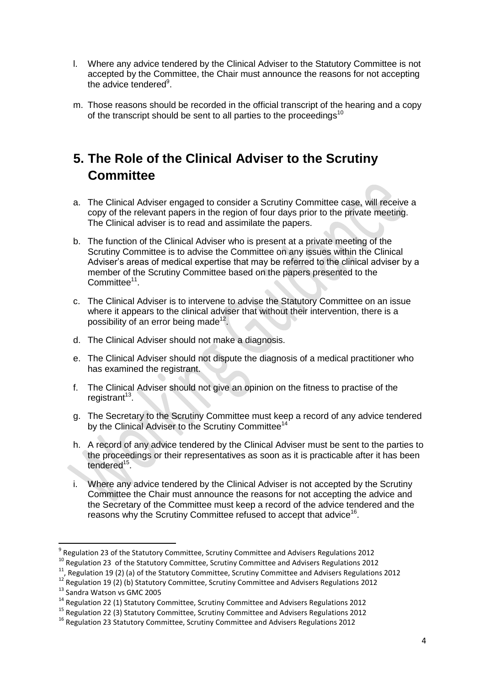- l. Where any advice tendered by the Clinical Adviser to the Statutory Committee is not accepted by the Committee, the Chair must announce the reasons for not accepting the advice tendered<sup>9</sup>.
- m. Those reasons should be recorded in the official transcript of the hearing and a copy of the transcript should be sent to all parties to the proceedings<sup>10</sup>

# <span id="page-4-0"></span>**5. The Role of the Clinical Adviser to the Scrutiny Committee**

- a. The Clinical Adviser engaged to consider a Scrutiny Committee case, will receive a copy of the relevant papers in the region of four days prior to the private meeting. The Clinical adviser is to read and assimilate the papers.
- b. The function of the Clinical Adviser who is present at a private meeting of the Scrutiny Committee is to advise the Committee on any issues within the Clinical Adviser's areas of medical expertise that may be referred to the clinical adviser by a member of the Scrutiny Committee based on the papers presented to the Committee<sup>11</sup>.
- c. The Clinical Adviser is to intervene to advise the Statutory Committee on an issue where it appears to the clinical adviser that without their intervention, there is a possibility of an error being made<sup>12</sup>.
- d. The Clinical Adviser should not make a diagnosis.
- e. The Clinical Adviser should not dispute the diagnosis of a medical practitioner who has examined the registrant.
- f. The Clinical Adviser should not give an opinion on the fitness to practise of the registrant<sup>13</sup>.
- g. The Secretary to the Scrutiny Committee must keep a record of any advice tendered by the Clinical Adviser to the Scrutiny Committee<sup>14</sup>
- h. A record of any advice tendered by the Clinical Adviser must be sent to the parties to the proceedings or their representatives as soon as it is practicable after it has been tendered<sup>15</sup>.
- i. Where any advice tendered by the Clinical Adviser is not accepted by the Scrutiny Committee the Chair must announce the reasons for not accepting the advice and the Secretary of the Committee must keep a record of the advice tendered and the reasons why the Scrutiny Committee refused to accept that advice<sup>16</sup>.

**.** 

<sup>&</sup>lt;sup>9</sup> Regulation 23 of the Statutory Committee, Scrutiny Committee and Advisers Regulations 2012

<sup>&</sup>lt;sup>10</sup> Regulation 23 of the Statutory Committee, Scrutiny Committee and Advisers Regulations 2012

<sup>11</sup>, Regulation 19 (2) (a) of the Statutory Committee, Scrutiny Committee and Advisers Regulations 2012

<sup>&</sup>lt;sup>12</sup> Regulation 19 (2) (b) Statutory Committee, Scrutiny Committee and Advisers Regulations 2012 <sup>13</sup> Sandra Watson vs GMC 2005

<sup>&</sup>lt;sup>14</sup> Regulation 22 (1) Statutory Committee, Scrutiny Committee and Advisers Regulations 2012

<sup>15</sup> Regulation 22 (3) Statutory Committee, Scrutiny Committee and Advisers Regulations 2012

<sup>&</sup>lt;sup>16</sup> Regulation 23 Statutory Committee, Scrutiny Committee and Advisers Regulations 2012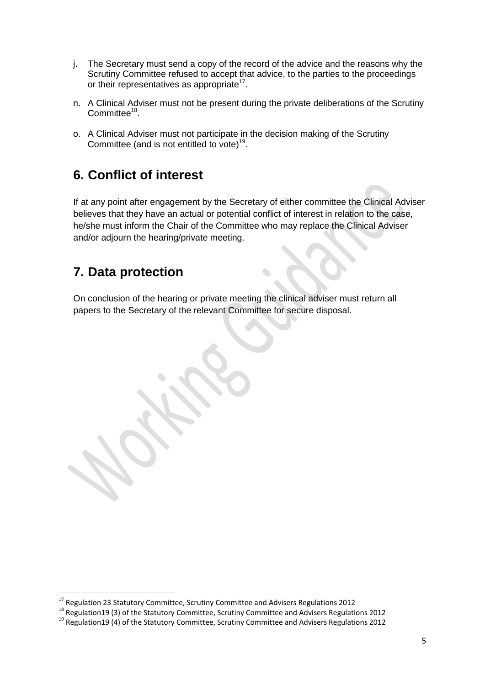- j. The Secretary must send a copy of the record of the advice and the reasons why the Scrutiny Committee refused to accept that advice, to the parties to the proceedings or their representatives as appropriate $17$ .
- n. A Clinical Adviser must not be present during the private deliberations of the Scrutiny Committee<sup>18</sup>.
- o. A Clinical Adviser must not participate in the decision making of the Scrutiny Committee (and is not entitled to vote)<sup>19</sup>.

#### <span id="page-5-0"></span>**6. Conflict of interest**

If at any point after engagement by the Secretary of either committee the Clinical Adviser believes that they have an actual or potential conflict of interest in relation to the case, he/she must inform the Chair of the Committee who may replace the Clinical Adviser and/or adjourn the hearing/private meeting.

 $\bullet$ 

#### <span id="page-5-1"></span>**7. Data protection**

**.** 

On conclusion of the hearing or private meeting the clinical adviser must return all papers to the Secretary of the relevant Committee for secure disposal.

 $^{17}$  Regulation 23 Statutory Committee, Scrutiny Committee and Advisers Regulations 2012

<sup>&</sup>lt;sup>18</sup> Regulation 19 (3) of the Statutory Committee, Scrutiny Committee and Advisers Regulations 2012

<sup>&</sup>lt;sup>19</sup> Regulation19 (4) of the Statutory Committee, Scrutiny Committee and Advisers Regulations 2012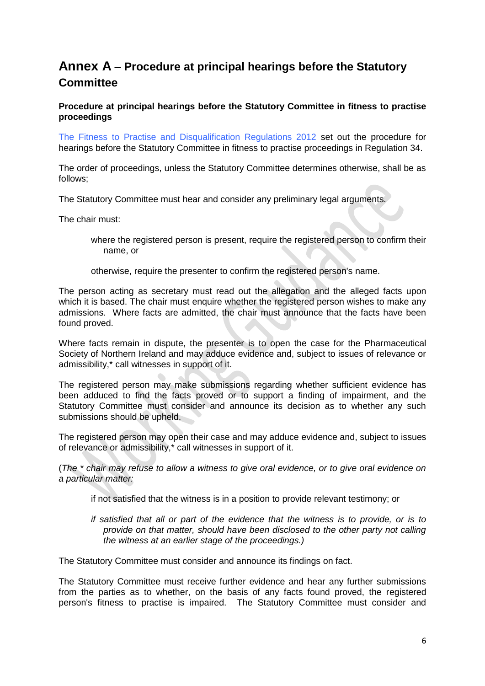#### <span id="page-6-0"></span>**Annex A – Procedure at principal hearings before the Statutory Committee**

**Procedure at principal hearings before the Statutory Committee in fitness to practise proceedings**

The Fitness to Practise and Disqualification Regulations 2012 set out the procedure for hearings before the Statutory Committee in fitness to practise proceedings in Regulation 34.

The order of proceedings, unless the Statutory Committee determines otherwise, shall be as follows;

The Statutory Committee must hear and consider any preliminary legal arguments.

The chair must:

- where the registered person is present, require the registered person to confirm their name, or
- otherwise, require the presenter to confirm the registered person's name.

The person acting as secretary must read out the allegation and the alleged facts upon which it is based. The chair must enquire whether the registered person wishes to make any admissions. Where facts are admitted, the chair must announce that the facts have been found proved.

Where facts remain in dispute, the presenter is to open the case for the Pharmaceutical Society of Northern Ireland and may adduce evidence and, subject to issues of relevance or admissibility,\* call witnesses in support of it.

The registered person may make submissions regarding whether sufficient evidence has been adduced to find the facts proved or to support a finding of impairment, and the Statutory Committee must consider and announce its decision as to whether any such submissions should be upheld.

The registered person may open their case and may adduce evidence and, subject to issues of relevance or admissibility,\* call witnesses in support of it.

(*The \* chair may refuse to allow a witness to give oral evidence, or to give oral evidence on a particular matter:*

- if not satisfied that the witness is in a position to provide relevant testimony; or
- *if satisfied that all or part of the evidence that the witness is to provide, or is to provide on that matter, should have been disclosed to the other party not calling the witness at an earlier stage of the proceedings.)*

The Statutory Committee must consider and announce its findings on fact.

The Statutory Committee must receive further evidence and hear any further submissions from the parties as to whether, on the basis of any facts found proved, the registered person's fitness to practise is impaired. The Statutory Committee must consider and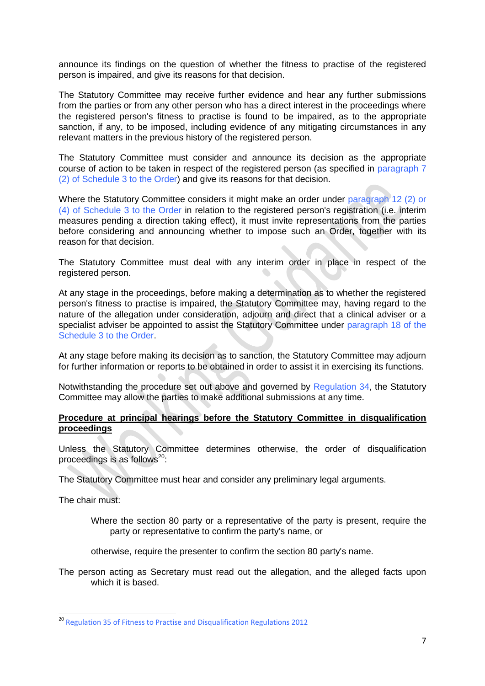announce its findings on the question of whether the fitness to practise of the registered person is impaired, and give its reasons for that decision.

The Statutory Committee may receive further evidence and hear any further submissions from the parties or from any other person who has a direct interest in the proceedings where the registered person's fitness to practise is found to be impaired, as to the appropriate sanction, if any, to be imposed, including evidence of any mitigating circumstances in any relevant matters in the previous history of the registered person.

The Statutory Committee must consider and announce its decision as the appropriate course of action to be taken in respect of the registered person (as specified in paragraph 7 (2) of Schedule 3 to the Order) and give its reasons for that decision.

Where the Statutory Committee considers it might make an order under paragraph 12 (2) or (4) of Schedule 3 to the Order in relation to the registered person's registration (i.e. interim measures pending a direction taking effect), it must invite representations from the parties before considering and announcing whether to impose such an Order, together with its reason for that decision.

The Statutory Committee must deal with any interim order in place in respect of the registered person.

At any stage in the proceedings, before making a determination as to whether the registered person's fitness to practise is impaired, the Statutory Committee may, having regard to the nature of the allegation under consideration, adjourn and direct that a clinical adviser or a specialist adviser be appointed to assist the Statutory Committee under paragraph 18 of the Schedule 3 to the Order.

At any stage before making its decision as to sanction, the Statutory Committee may adjourn for further information or reports to be obtained in order to assist it in exercising its functions.

Notwithstanding the procedure set out above and governed by Regulation 34, the Statutory Committee may allow the parties to make additional submissions at any time.

#### **Procedure at principal hearings before the Statutory Committee in disqualification proceedings**

Unless the Statutory Committee determines otherwise, the order of disqualification proceedings is as follows $^{20}$ :

The Statutory Committee must hear and consider any preliminary legal arguments.

The chair must:

**.** 

- Where the section 80 party or a representative of the party is present, require the party or representative to confirm the party's name, or
- otherwise, require the presenter to confirm the section 80 party's name.

The person acting as Secretary must read out the allegation, and the alleged facts upon which it is based.

<sup>20</sup> Regulation 35 of Fitness to Practise and Disqualification Regulations 2012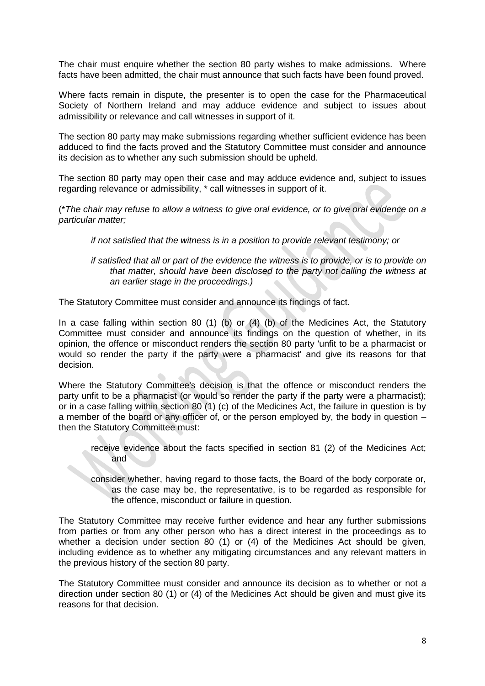The chair must enquire whether the section 80 party wishes to make admissions. Where facts have been admitted, the chair must announce that such facts have been found proved.

Where facts remain in dispute, the presenter is to open the case for the Pharmaceutical Society of Northern Ireland and may adduce evidence and subject to issues about admissibility or relevance and call witnesses in support of it.

The section 80 party may make submissions regarding whether sufficient evidence has been adduced to find the facts proved and the Statutory Committee must consider and announce its decision as to whether any such submission should be upheld.

The section 80 party may open their case and may adduce evidence and, subject to issues regarding relevance or admissibility, \* call witnesses in support of it.

(\**The chair may refuse to allow a witness to give oral evidence, or to give oral evidence on a particular matter;* 

*if not satisfied that the witness is in a position to provide relevant testimony; or*

*if satisfied that all or part of the evidence the witness is to provide, or is to provide on that matter, should have been disclosed to the party not calling the witness at an earlier stage in the proceedings.)*

The Statutory Committee must consider and announce its findings of fact.

In a case falling within section 80 (1) (b) or (4) (b) of the Medicines Act, the Statutory Committee must consider and announce its findings on the question of whether, in its opinion, the offence or misconduct renders the section 80 party 'unfit to be a pharmacist or would so render the party if the party were a pharmacist' and give its reasons for that decision.

Where the Statutory Committee's decision is that the offence or misconduct renders the party unfit to be a pharmacist (or would so render the party if the party were a pharmacist); or in a case falling within section 80 (1) (c) of the Medicines Act, the failure in question is by a member of the board or any officer of, or the person employed by, the body in question – then the Statutory Committee must:

- receive evidence about the facts specified in section 81 (2) of the Medicines Act; and
- consider whether, having regard to those facts, the Board of the body corporate or, as the case may be, the representative, is to be regarded as responsible for the offence, misconduct or failure in question.

The Statutory Committee may receive further evidence and hear any further submissions from parties or from any other person who has a direct interest in the proceedings as to whether a decision under section 80 (1) or (4) of the Medicines Act should be given, including evidence as to whether any mitigating circumstances and any relevant matters in the previous history of the section 80 party.

The Statutory Committee must consider and announce its decision as to whether or not a direction under section 80 (1) or (4) of the Medicines Act should be given and must give its reasons for that decision.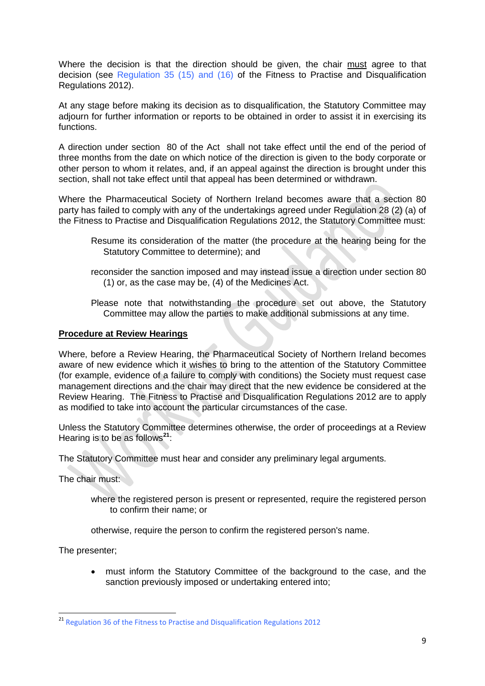Where the decision is that the direction should be given, the chair must agree to that decision (see Regulation 35 (15) and (16) of the Fitness to Practise and Disqualification Regulations 2012).

At any stage before making its decision as to disqualification, the Statutory Committee may adjourn for further information or reports to be obtained in order to assist it in exercising its functions.

A direction under section 80 of the Act shall not take effect until the end of the period of three months from the date on which notice of the direction is given to the body corporate or other person to whom it relates, and, if an appeal against the direction is brought under this section, shall not take effect until that appeal has been determined or withdrawn.

Where the Pharmaceutical Society of Northern Ireland becomes aware that a section 80 party has failed to comply with any of the undertakings agreed under Regulation 28 (2) (a) of the Fitness to Practise and Disqualification Regulations 2012, the Statutory Committee must:

- Resume its consideration of the matter (the procedure at the hearing being for the Statutory Committee to determine); and
- reconsider the sanction imposed and may instead issue a direction under section 80 (1) or, as the case may be, (4) of the Medicines Act.
- Please note that notwithstanding the procedure set out above, the Statutory Committee may allow the parties to make additional submissions at any time.

#### **Procedure at Review Hearings**

Where, before a Review Hearing, the Pharmaceutical Society of Northern Ireland becomes aware of new evidence which it wishes to bring to the attention of the Statutory Committee (for example, evidence of a failure to comply with conditions) the Society must request case management directions and the chair may direct that the new evidence be considered at the Review Hearing. The Fitness to Practise and Disqualification Regulations 2012 are to apply as modified to take into account the particular circumstances of the case.

Unless the Statutory Committee determines otherwise, the order of proceedings at a Review Hearing is to be as follows**<sup>21</sup>**:

The Statutory Committee must hear and consider any preliminary legal arguments.

The chair must:

where the registered person is present or represented, require the registered person to confirm their name; or

otherwise, require the person to confirm the registered person's name.

The presenter;

 must inform the Statutory Committee of the background to the case, and the sanction previously imposed or undertaking entered into;

**<sup>.</sup>** <sup>21</sup> Regulation 36 of the Fitness to Practise and Disqualification Regulations 2012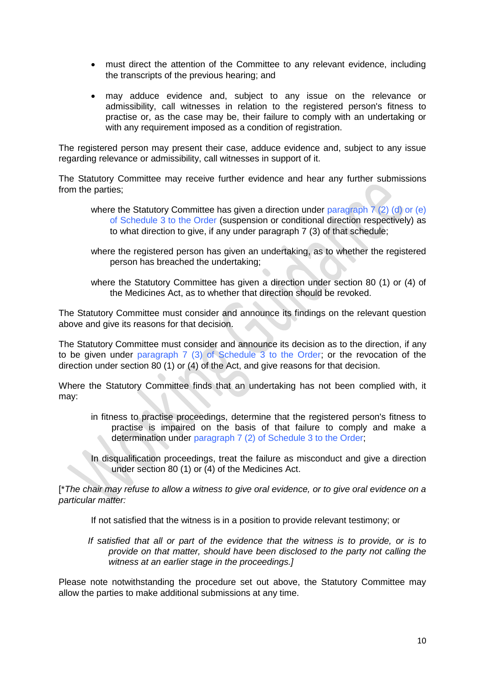- must direct the attention of the Committee to any relevant evidence, including the transcripts of the previous hearing; and
- may adduce evidence and, subject to any issue on the relevance or admissibility, call witnesses in relation to the registered person's fitness to practise or, as the case may be, their failure to comply with an undertaking or with any requirement imposed as a condition of registration.

The registered person may present their case, adduce evidence and, subject to any issue regarding relevance or admissibility, call witnesses in support of it.

The Statutory Committee may receive further evidence and hear any further submissions from the parties;

- where the Statutory Committee has given a direction under paragraph 7 (2) (d) or (e) of Schedule 3 to the Order (suspension or conditional direction respectively) as to what direction to give, if any under paragraph 7 (3) of that schedule;
- where the registered person has given an undertaking, as to whether the registered person has breached the undertaking;
- where the Statutory Committee has given a direction under section 80 (1) or (4) of the Medicines Act, as to whether that direction should be revoked.

The Statutory Committee must consider and announce its findings on the relevant question above and give its reasons for that decision.

The Statutory Committee must consider and announce its decision as to the direction, if any to be given under paragraph 7 (3) of Schedule 3 to the Order; or the revocation of the direction under section 80 (1) or (4) of the Act, and give reasons for that decision.

Where the Statutory Committee finds that an undertaking has not been complied with, it may:

- in fitness to practise proceedings, determine that the registered person's fitness to practise is impaired on the basis of that failure to comply and make a determination under paragraph 7 (2) of Schedule 3 to the Order;
- In disqualification proceedings, treat the failure as misconduct and give a direction under section 80 (1) or (4) of the Medicines Act.

[\**The chair may refuse to allow a witness to give oral evidence, or to give oral evidence on a particular matter:*

- If not satisfied that the witness is in a position to provide relevant testimony; or
- If satisfied that all or part of the evidence that the witness is to provide, or is to *provide on that matter, should have been disclosed to the party not calling the witness at an earlier stage in the proceedings.]*

Please note notwithstanding the procedure set out above, the Statutory Committee may allow the parties to make additional submissions at any time.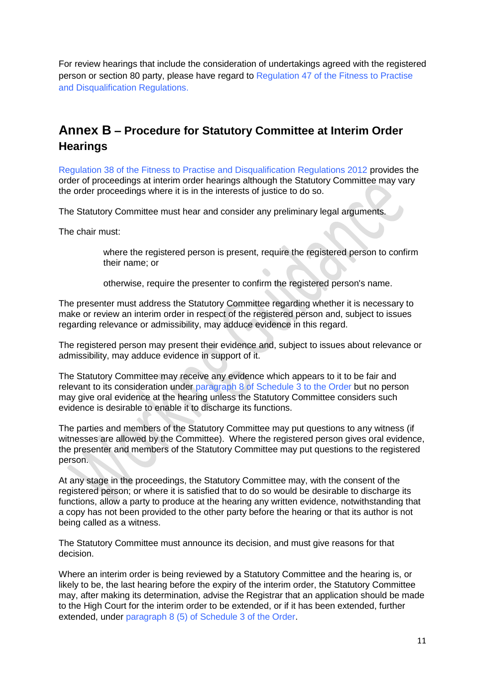For review hearings that include the consideration of undertakings agreed with the registered person or section 80 party, please have regard to Regulation 47 of the Fitness to Practise and Disqualification Regulations.

#### <span id="page-11-0"></span>**Annex B – Procedure for Statutory Committee at Interim Order Hearings**

Regulation 38 of the Fitness to Practise and Disqualification Regulations 2012 provides the order of proceedings at interim order hearings although the Statutory Committee may vary the order proceedings where it is in the interests of justice to do so.

The Statutory Committee must hear and consider any preliminary legal arguments.

The chair must:

where the registered person is present, require the registered person to confirm their name; or

otherwise, require the presenter to confirm the registered person's name.

The presenter must address the Statutory Committee regarding whether it is necessary to make or review an interim order in respect of the registered person and, subject to issues regarding relevance or admissibility, may adduce evidence in this regard.

The registered person may present their evidence and, subject to issues about relevance or admissibility, may adduce evidence in support of it.

The Statutory Committee may receive any evidence which appears to it to be fair and relevant to its consideration under paragraph 8 of Schedule 3 to the Order but no person may give oral evidence at the hearing unless the Statutory Committee considers such evidence is desirable to enable it to discharge its functions.

The parties and members of the Statutory Committee may put questions to any witness (if witnesses are allowed by the Committee). Where the registered person gives oral evidence, the presenter and members of the Statutory Committee may put questions to the registered person.

At any stage in the proceedings, the Statutory Committee may, with the consent of the registered person; or where it is satisfied that to do so would be desirable to discharge its functions, allow a party to produce at the hearing any written evidence, notwithstanding that a copy has not been provided to the other party before the hearing or that its author is not being called as a witness.

The Statutory Committee must announce its decision, and must give reasons for that decision.

Where an interim order is being reviewed by a Statutory Committee and the hearing is, or likely to be, the last hearing before the expiry of the interim order, the Statutory Committee may, after making its determination, advise the Registrar that an application should be made to the High Court for the interim order to be extended, or if it has been extended, further extended, under paragraph 8 (5) of Schedule 3 of the Order.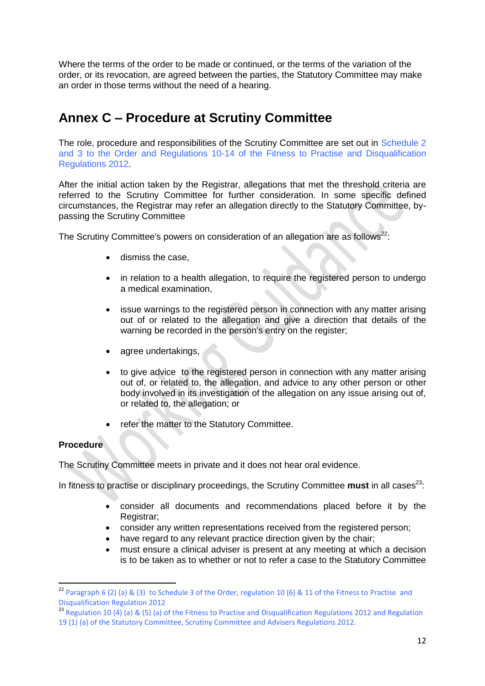Where the terms of the order to be made or continued, or the terms of the variation of the order, or its revocation, are agreed between the parties, the Statutory Committee may make an order in those terms without the need of a hearing.

#### <span id="page-12-0"></span>**Annex C – Procedure at Scrutiny Committee**

The role, procedure and responsibilities of the Scrutiny Committee are set out in Schedule 2 and 3 to the Order and Regulations 10-14 of the Fitness to Practise and Disqualification Regulations 2012.

After the initial action taken by the Registrar, allegations that met the threshold criteria are referred to the Scrutiny Committee for further consideration. In some specific defined circumstances, the Registrar may refer an allegation directly to the Statutory Committee, bypassing the Scrutiny Committee

The Scrutiny Committee's powers on consideration of an allegation are as follows<sup>22</sup>:

- **dismiss the case.**
- in relation to a health allegation, to require the registered person to undergo a medical examination,
- issue warnings to the registered person in connection with any matter arising out of or related to the allegation and give a direction that details of the warning be recorded in the person's entry on the register;
- agree undertakings,
- to give advice to the registered person in connection with any matter arising out of, or related to, the allegation, and advice to any other person or other body involved in its investigation of the allegation on any issue arising out of, or related to, the allegation; or
- refer the matter to the Statutory Committee.

#### **Procedure**

**.** 

The Scrutiny Committee meets in private and it does not hear oral evidence.

In fitness to practise or disciplinary proceedings, the Scrutiny Committee **must** in all cases<sup>23</sup>:

- consider all documents and recommendations placed before it by the Registrar;
- consider any written representations received from the registered person;
- have regard to any relevant practice direction given by the chair;
- must ensure a clinical adviser is present at any meeting at which a decision is to be taken as to whether or not to refer a case to the Statutory Committee

<sup>&</sup>lt;sup>22</sup> Paragraph 6 (2) (a) & (3) to Schedule 3 of the Order, regulation 10 (6) & 11 of the Fitness to Practise and Disqualification Regulation 2012

<sup>&</sup>lt;sup>23</sup> Regulation 10 (4) (a) & (5) (a) of the Fitness to Practise and Disqualification Regulations 2012 and Regulation 19 (1) (a) of the Statutory Committee, Scrutiny Committee and Advisers Regulations 2012.